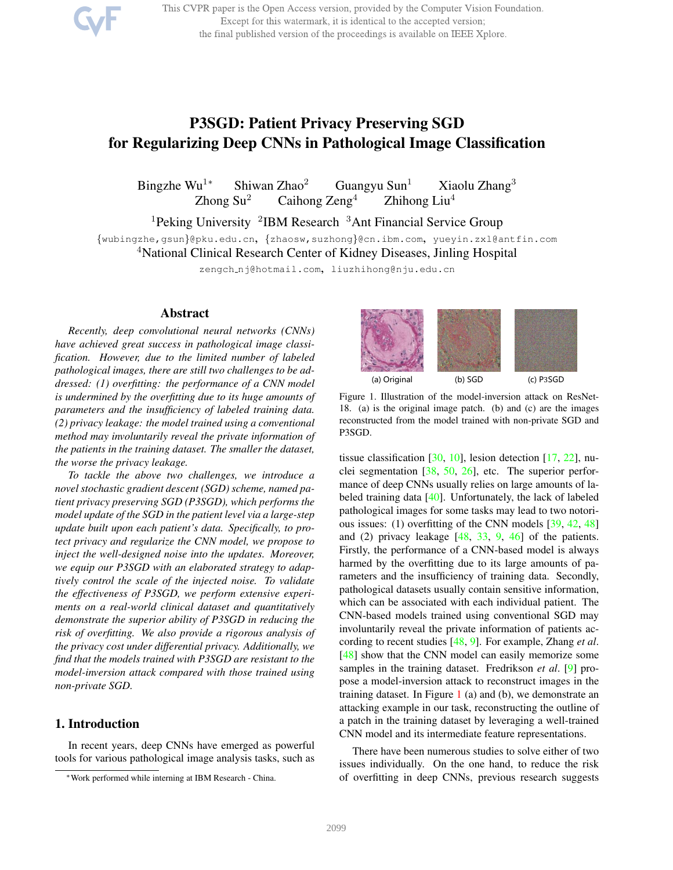This CVPR paper is the Open Access version, provided by the Computer Vision Foundation. Except for this watermark, it is identical to the accepted version; the final published version of the proceedings is available on IEEE Xplore.

# P3SGD: Patient Privacy Preserving SGD for Regularizing Deep CNNs in Pathological Image Classification

Bingzhe Wu<sup>1∗</sup> Shiwan Zhao<sup>2</sup> Guangyu Sun<sup>1</sup> Xiaolu Zhang<sup>3</sup> Zhong Su<sup>2</sup> Caihong Zeng<sup>4</sup> Zhihong Liu<sup>4</sup> Caihong  $\text{Zeng}^4$  Zhihong Liu<sup>4</sup>

<sup>1</sup>Peking University <sup>2</sup>IBM Research <sup>3</sup>Ant Financial Service Group

{wubingzhe,gsun}@pku.edu.cn, {zhaosw,suzhong}@cn.ibm.com, yueyin.zxl@antfin.com <sup>4</sup>National Clinical Research Center of Kidney Diseases, Jinling Hospital

zengch\_nj@hotmail.com, liuzhihong@nju.edu.cn

# Abstract

*Recently, deep convolutional neural networks (CNNs) have achieved great success in pathological image classification. However, due to the limited number of labeled pathological images, there are still two challenges to be addressed: (1) overfitting: the performance of a CNN model is undermined by the overfitting due to its huge amounts of parameters and the insufficiency of labeled training data. (2) privacy leakage: the model trained using a conventional method may involuntarily reveal the private information of the patients in the training dataset. The smaller the dataset, the worse the privacy leakage.*

*To tackle the above two challenges, we introduce a novel stochastic gradient descent (SGD) scheme, named patient privacy preserving SGD (P3SGD), which performs the model update of the SGD in the patient level via a large-step update built upon each patient's data. Specifically, to protect privacy and regularize the CNN model, we propose to inject the well-designed noise into the updates. Moreover, we equip our P3SGD with an elaborated strategy to adaptively control the scale of the injected noise. To validate the effectiveness of P3SGD, we perform extensive experiments on a real-world clinical dataset and quantitatively demonstrate the superior ability of P3SGD in reducing the risk of overfitting. We also provide a rigorous analysis of the privacy cost under differential privacy. Additionally, we find that the models trained with P3SGD are resistant to the model-inversion attack compared with those trained using non-private SGD.*

# 1. Introduction

In recent years, deep CNNs have emerged as powerful tools for various pathological image analysis tasks, such as



Figure 1. Illustration of the model-inversion attack on ResNet-18. (a) is the original image patch. (b) and (c) are the images reconstructed from the model trained with non-private SGD and P3SGD.

tissue classification  $[30, 10]$ , lesion detection  $[17, 22]$ , nuclei segmentation  $[38, 50, 26]$ , etc. The superior performance of deep CNNs usually relies on large amounts of labeled training data [40]. Unfortunately, the lack of labeled pathological images for some tasks may lead to two notorious issues: (1) overfitting of the CNN models [39, 42, 48] and (2) privacy leakage [48, 33, 9, 46] of the patients. Firstly, the performance of a CNN-based model is always harmed by the overfitting due to its large amounts of parameters and the insufficiency of training data. Secondly, pathological datasets usually contain sensitive information, which can be associated with each individual patient. The CNN-based models trained using conventional SGD may involuntarily reveal the private information of patients according to recent studies [48, 9]. For example, Zhang *et al*. [48] show that the CNN model can easily memorize some samples in the training dataset. Fredrikson *et al*. [9] propose a model-inversion attack to reconstruct images in the training dataset. In Figure  $1$  (a) and (b), we demonstrate an attacking example in our task, reconstructing the outline of a patch in the training dataset by leveraging a well-trained CNN model and its intermediate feature representations.

There have been numerous studies to solve either of two issues individually. On the one hand, to reduce the risk of overfitting in deep CNNs, previous research suggests

<sup>∗</sup>Work performed while interning at IBM Research - China.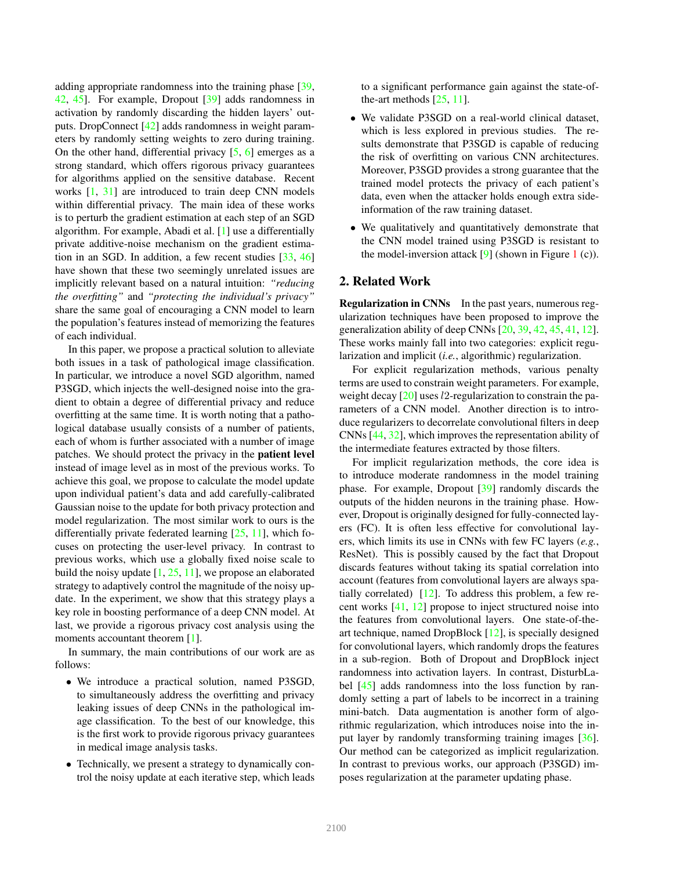adding appropriate randomness into the training phase [39, 42, 45]. For example, Dropout [39] adds randomness in activation by randomly discarding the hidden layers' outputs. DropConnect [42] adds randomness in weight parameters by randomly setting weights to zero during training. On the other hand, differential privacy [5, 6] emerges as a strong standard, which offers rigorous privacy guarantees for algorithms applied on the sensitive database. Recent works [1, 31] are introduced to train deep CNN models within differential privacy. The main idea of these works is to perturb the gradient estimation at each step of an SGD algorithm. For example, Abadi et al. [1] use a differentially private additive-noise mechanism on the gradient estimation in an SGD. In addition, a few recent studies [33, 46] have shown that these two seemingly unrelated issues are implicitly relevant based on a natural intuition: *"reducing the overfitting"* and *"protecting the individual's privacy"* share the same goal of encouraging a CNN model to learn the population's features instead of memorizing the features of each individual.

In this paper, we propose a practical solution to alleviate both issues in a task of pathological image classification. In particular, we introduce a novel SGD algorithm, named P3SGD, which injects the well-designed noise into the gradient to obtain a degree of differential privacy and reduce overfitting at the same time. It is worth noting that a pathological database usually consists of a number of patients, each of whom is further associated with a number of image patches. We should protect the privacy in the patient level instead of image level as in most of the previous works. To achieve this goal, we propose to calculate the model update upon individual patient's data and add carefully-calibrated Gaussian noise to the update for both privacy protection and model regularization. The most similar work to ours is the differentially private federated learning [25, 11], which focuses on protecting the user-level privacy. In contrast to previous works, which use a globally fixed noise scale to build the noisy update [1, 25, 11], we propose an elaborated strategy to adaptively control the magnitude of the noisy update. In the experiment, we show that this strategy plays a key role in boosting performance of a deep CNN model. At last, we provide a rigorous privacy cost analysis using the moments accountant theorem [1].

In summary, the main contributions of our work are as follows:

- We introduce a practical solution, named P3SGD, to simultaneously address the overfitting and privacy leaking issues of deep CNNs in the pathological image classification. To the best of our knowledge, this is the first work to provide rigorous privacy guarantees in medical image analysis tasks.
- Technically, we present a strategy to dynamically control the noisy update at each iterative step, which leads

to a significant performance gain against the state-ofthe-art methods  $[25, 11]$ .

- We validate P3SGD on a real-world clinical dataset, which is less explored in previous studies. The results demonstrate that P3SGD is capable of reducing the risk of overfitting on various CNN architectures. Moreover, P3SGD provides a strong guarantee that the trained model protects the privacy of each patient's data, even when the attacker holds enough extra sideinformation of the raw training dataset.
- We qualitatively and quantitatively demonstrate that the CNN model trained using P3SGD is resistant to the model-inversion attack  $[9]$  (shown in Figure 1 (c)).

## 2. Related Work

Regularization in CNNs In the past years, numerous regularization techniques have been proposed to improve the generalization ability of deep CNNs [20, 39, 42, 45, 41, 12]. These works mainly fall into two categories: explicit regularization and implicit (*i.e.*, algorithmic) regularization.

For explicit regularization methods, various penalty terms are used to constrain weight parameters. For example, weight decay [20] uses *l*2-regularization to constrain the parameters of a CNN model. Another direction is to introduce regularizers to decorrelate convolutional filters in deep CNNs [44, 32], which improves the representation ability of the intermediate features extracted by those filters.

For implicit regularization methods, the core idea is to introduce moderate randomness in the model training phase. For example, Dropout [39] randomly discards the outputs of the hidden neurons in the training phase. However, Dropout is originally designed for fully-connected layers (FC). It is often less effective for convolutional layers, which limits its use in CNNs with few FC layers (*e.g.*, ResNet). This is possibly caused by the fact that Dropout discards features without taking its spatial correlation into account (features from convolutional layers are always spatially correlated) [12]. To address this problem, a few recent works [41, 12] propose to inject structured noise into the features from convolutional layers. One state-of-theart technique, named DropBlock [12], is specially designed for convolutional layers, which randomly drops the features in a sub-region. Both of Dropout and DropBlock inject randomness into activation layers. In contrast, DisturbLabel [45] adds randomness into the loss function by randomly setting a part of labels to be incorrect in a training mini-batch. Data augmentation is another form of algorithmic regularization, which introduces noise into the input layer by randomly transforming training images [36]. Our method can be categorized as implicit regularization. In contrast to previous works, our approach (P3SGD) imposes regularization at the parameter updating phase.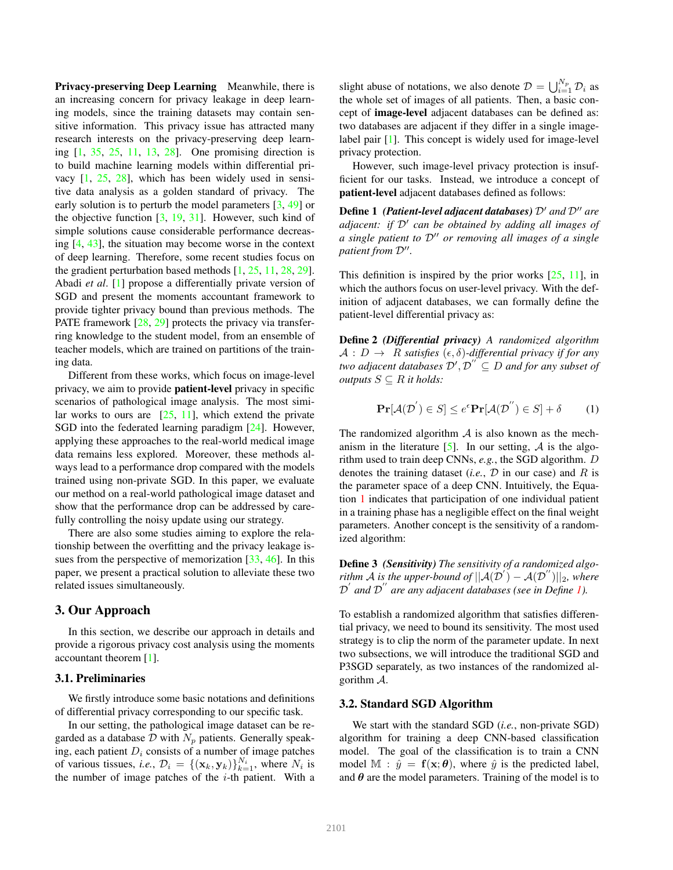Privacy-preserving Deep Learning Meanwhile, there is an increasing concern for privacy leakage in deep learning models, since the training datasets may contain sensitive information. This privacy issue has attracted many research interests on the privacy-preserving deep learning [1, 35, 25, 11, 13, 28]. One promising direction is to build machine learning models within differential privacy [1, 25, 28], which has been widely used in sensitive data analysis as a golden standard of privacy. The early solution is to perturb the model parameters [3, 49] or the objective function  $[3, 19, 31]$ . However, such kind of simple solutions cause considerable performance decreasing [4, 43], the situation may become worse in the context of deep learning. Therefore, some recent studies focus on the gradient perturbation based methods [1, 25, 11, 28, 29]. Abadi *et al*. [1] propose a differentially private version of SGD and present the moments accountant framework to provide tighter privacy bound than previous methods. The PATE framework [28, 29] protects the privacy via transferring knowledge to the student model, from an ensemble of teacher models, which are trained on partitions of the training data.

Different from these works, which focus on image-level privacy, we aim to provide patient-level privacy in specific scenarios of pathological image analysis. The most similar works to ours are  $[25, 11]$ , which extend the private SGD into the federated learning paradigm [24]. However, applying these approaches to the real-world medical image data remains less explored. Moreover, these methods always lead to a performance drop compared with the models trained using non-private SGD. In this paper, we evaluate our method on a real-world pathological image dataset and show that the performance drop can be addressed by carefully controlling the noisy update using our strategy.

There are also some studies aiming to explore the relationship between the overfitting and the privacy leakage issues from the perspective of memorization [33, 46]. In this paper, we present a practical solution to alleviate these two related issues simultaneously.

## 3. Our Approach

In this section, we describe our approach in details and provide a rigorous privacy cost analysis using the moments accountant theorem [1].

#### 3.1. Preliminaries

We firstly introduce some basic notations and definitions of differential privacy corresponding to our specific task.

In our setting, the pathological image dataset can be regarded as a database  $\mathcal D$  with  $N_p$  patients. Generally speaking, each patient  $D_i$  consists of a number of image patches of various tissues, *i.e.*,  $\mathcal{D}_i = \{(\mathbf{x}_k, \mathbf{y}_k)\}_{k=1}^{N_i}$ , where  $N_i$  is the number of image patches of the  $i$ -th patient. With a

slight abuse of notations, we also denote  $\mathcal{D} = \bigcup_{i=1}^{N_p} \mathcal{D}_i$  as the whole set of images of all patients. Then, a basic concept of image-level adjacent databases can be defined as: two databases are adjacent if they differ in a single imagelabel pair [1]. This concept is widely used for image-level privacy protection.

However, such image-level privacy protection is insufficient for our tasks. Instead, we introduce a concept of patient-level adjacent databases defined as follows:

Define 1 *(Patient-level adjacent databases)* D′ *and* D′′ *are adjacent: if* D′ *can be obtained by adding all images of a single patient to* D′′ *or removing all images of a single patient from* D′′ *.*

This definition is inspired by the prior works  $[25, 11]$ , in which the authors focus on user-level privacy. With the definition of adjacent databases, we can formally define the patient-level differential privacy as:

Define 2 *(Differential privacy) A randomized algorithm*  $A : D \to R$  *satisfies*  $(\epsilon, \delta)$ -differential privacy if for any *two adjacent databases*  $\mathcal{D}', \mathcal{D}'' \subseteq D$  *and for any subset of outputs*  $S \subseteq R$  *it holds:* 

$$
\mathbf{Pr}[\mathcal{A}(\mathcal{D}^{'}) \in S] \le e^{\epsilon} \mathbf{Pr}[\mathcal{A}(\mathcal{D}^{''}) \in S] + \delta \tag{1}
$$

The randomized algorithm  $A$  is also known as the mechanism in the literature  $[5]$ . In our setting, A is the algorithm used to train deep CNNs, *e.g.*, the SGD algorithm. D denotes the training dataset (*i.e.*,  $D$  in our case) and  $R$  is the parameter space of a deep CNN. Intuitively, the Equation 1 indicates that participation of one individual patient in a training phase has a negligible effect on the final weight parameters. Another concept is the sensitivity of a randomized algorithm:

Define 3 *(Sensitivity) The sensitivity of a randomized algorithm* A is the upper-bound of  $||A(D') - A(D'')||_2$ , where D ′ *and* D ′′ *are any adjacent databases (see in Define 1).*

To establish a randomized algorithm that satisfies differential privacy, we need to bound its sensitivity. The most used strategy is to clip the norm of the parameter update. In next two subsections, we will introduce the traditional SGD and P3SGD separately, as two instances of the randomized algorithm  $\mathcal{A}$ .

#### 3.2. Standard SGD Algorithm

We start with the standard SGD (*i.e.*, non-private SGD) algorithm for training a deep CNN-based classification model. The goal of the classification is to train a CNN model  $\mathbb{M}$ :  $\hat{y} = \mathbf{f}(\mathbf{x}; \theta)$ , where  $\hat{y}$  is the predicted label, and  $\theta$  are the model parameters. Training of the model is to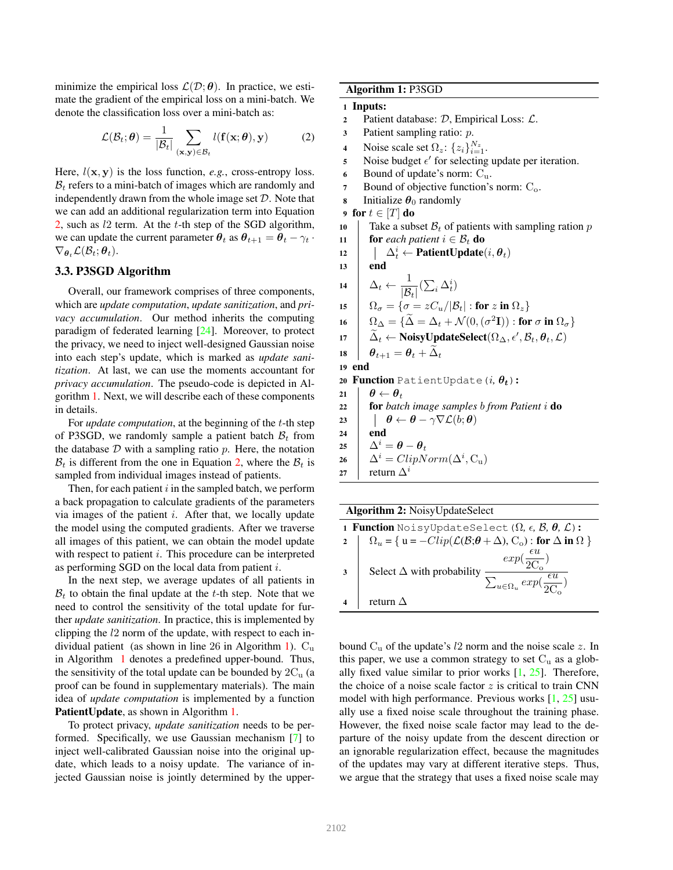minimize the empirical loss  $\mathcal{L}(\mathcal{D}; \theta)$ . In practice, we estimate the gradient of the empirical loss on a mini-batch. We denote the classification loss over a mini-batch as:

$$
\mathcal{L}(\mathcal{B}_t; \boldsymbol{\theta}) = \frac{1}{|\mathcal{B}_t|} \sum_{(\mathbf{x}, \mathbf{y}) \in \mathcal{B}_t} l(\mathbf{f}(\mathbf{x}; \boldsymbol{\theta}), \mathbf{y})
$$
(2)

Here,  $l(\mathbf{x}, \mathbf{y})$  is the loss function, *e.g.*, cross-entropy loss.  $B_t$  refers to a mini-batch of images which are randomly and independently drawn from the whole image set  $D$ . Note that we can add an additional regularization term into Equation 2, such as  $l2$  term. At the  $t$ -th step of the SGD algorithm, we can update the current parameter  $\theta_t$  as  $\theta_{t+1} = \theta_t - \gamma_t$ .  $\nabla_{\boldsymbol{\theta}_t} \mathcal{L}(\mathcal{B}_t; \boldsymbol{\theta}_t).$ 

# 3.3. P3SGD Algorithm

Overall, our framework comprises of three components, which are *update computation*, *update sanitization*, and *privacy accumulation*. Our method inherits the computing paradigm of federated learning [24]. Moreover, to protect the privacy, we need to inject well-designed Gaussian noise into each step's update, which is marked as *update sanitization*. At last, we can use the moments accountant for *privacy accumulation*. The pseudo-code is depicted in Algorithm 1. Next, we will describe each of these components in details.

For *update computation*, at the beginning of the t-th step of P3SGD, we randomly sample a patient batch  $B_t$  from the database  $D$  with a sampling ratio  $p$ . Here, the notation  $\mathcal{B}_t$  is different from the one in Equation 2, where the  $\mathcal{B}_t$  is sampled from individual images instead of patients.

Then, for each patient  $i$  in the sampled batch, we perform a back propagation to calculate gradients of the parameters via images of the patient  $i$ . After that, we locally update the model using the computed gradients. After we traverse all images of this patient, we can obtain the model update with respect to patient  $i$ . This procedure can be interpreted as performing SGD on the local data from patient i.

In the next step, we average updates of all patients in  $\mathcal{B}_t$  to obtain the final update at the t-th step. Note that we need to control the sensitivity of the total update for further *update sanitization*. In practice, this is implemented by clipping the l2 norm of the update, with respect to each individual patient (as shown in line 26 in Algorithm 1).  $C_u$ in Algorithm 1 denotes a predefined upper-bound. Thus, the sensitivity of the total update can be bounded by  $2C_u$  (a proof can be found in supplementary materials). The main idea of *update computation* is implemented by a function PatientUpdate, as shown in Algorithm 1.

To protect privacy, *update sanitization* needs to be performed. Specifically, we use Gaussian mechanism [7] to inject well-calibrated Gaussian noise into the original update, which leads to a noisy update. The variance of injected Gaussian noise is jointly determined by the upperAlgorithm 1: P3SGD

#### 1 Inputs:

- 2 Patient database:  $D$ , Empirical Loss:  $\mathcal{L}$ .
- <sup>3</sup> Patient sampling ratio: p.
- 4 Noise scale set  $\Omega_z$ :  $\{z_i\}_{i=1}^{N_z}$ .
- 5 Noise budget  $\epsilon'$  for selecting update per iteration.
- 6 Bound of update's norm:  $C_u$ .
- 7 Bound of objective function's norm:  $C<sub>o</sub>$ .
- **8** Initialize  $\theta_0$  randomly
- 9 for  $t \in [T]$  do
- 10 Take a subset  $\mathcal{B}_t$  of patients with sampling ration p
- 11 **for** *each patient*  $i \in \mathcal{B}_t$  **do**
- 12  $\left| \begin{array}{c} \Delta_t^i \leftarrow \mathbf{PatternUpdate}(i, \theta_t) \end{array} \right|$

13 end  $\Delta_t \leftarrow \frac{1}{12}$  $\frac{1}{|\mathcal{B}_t|}(\sum_i \Delta_t^i)$  $\bigcap_{\sigma=1}$   $\bigcap_{\sigma=2}$   $C_u/|\mathcal{B}_t|$  : for z in  $\Omega_z$ }  $\left[ \begin{array}{l} \Omega_\Delta = \{ \Delta = \Delta_t + \mathcal{N}(0, (\sigma^2 \mathbf{I})) : \textbf{for } \sigma \textbf{ in } \Omega_\sigma \} \end{array} \right]$  $\left[\begin{array}{l} \widetilde{\Delta}_t \leftarrow \textbf{NoisyUpdateSelect}(\Omega_\Delta, \epsilon', \mathcal{B}_t, \theta_t, \mathcal{L}) \end{array}\right]$  $\theta_{t+1} = \theta_t + \tilde{\Delta}_t$ 19 end 20 Function PatientUpdate( $i, \theta_t$ ):  $\theta \leftarrow \theta_t$  for *batch image samples* b *from Patient* i do  $\theta \leftarrow \theta - \gamma \nabla \mathcal{L}(b; \theta)$ 24 end  $\Delta^i = \boldsymbol{\theta} - \boldsymbol{\theta}_t$  $\Delta^i = ClipNorm(\Delta^i, \mathcal{C}_u)$ 27 Feturn  $\Delta^i$ 

| <b>Algorithm 2: NoisyUpdateSelect</b> |                                                                                                                                           |  |  |  |  |  |
|---------------------------------------|-------------------------------------------------------------------------------------------------------------------------------------------|--|--|--|--|--|
|                                       | <b>1 Function</b> NoisyUpdateSelect $(\Omega, \epsilon, \mathcal{B}, \theta, \mathcal{L})$ :                                              |  |  |  |  |  |
|                                       | 2 $\left[ \Omega_u = \{ u = -Clip(\mathcal{L}(\mathcal{B}; \theta + \Delta), C_o) : \textbf{for } \Delta \textbf{ in } \Omega \} \right]$ |  |  |  |  |  |
| $\mathbf{3}$                          | $exp(\frac{\epsilon u}{2C_c})$<br>Select $\Delta$ with probability<br>$\sum_{u \in \Omega_u} exp(\frac{\bar{\epsilon u}}{2C_{\epsilon}})$ |  |  |  |  |  |
|                                       | return $\Delta$                                                                                                                           |  |  |  |  |  |

bound  $C_u$  of the update's l2 norm and the noise scale z. In this paper, we use a common strategy to set  $C_u$  as a globally fixed value similar to prior works  $[1, 25]$ . Therefore, the choice of a noise scale factor  $z$  is critical to train CNN model with high performance. Previous works [1, 25] usually use a fixed noise scale throughout the training phase. However, the fixed noise scale factor may lead to the departure of the noisy update from the descent direction or an ignorable regularization effect, because the magnitudes of the updates may vary at different iterative steps. Thus, we argue that the strategy that uses a fixed noise scale may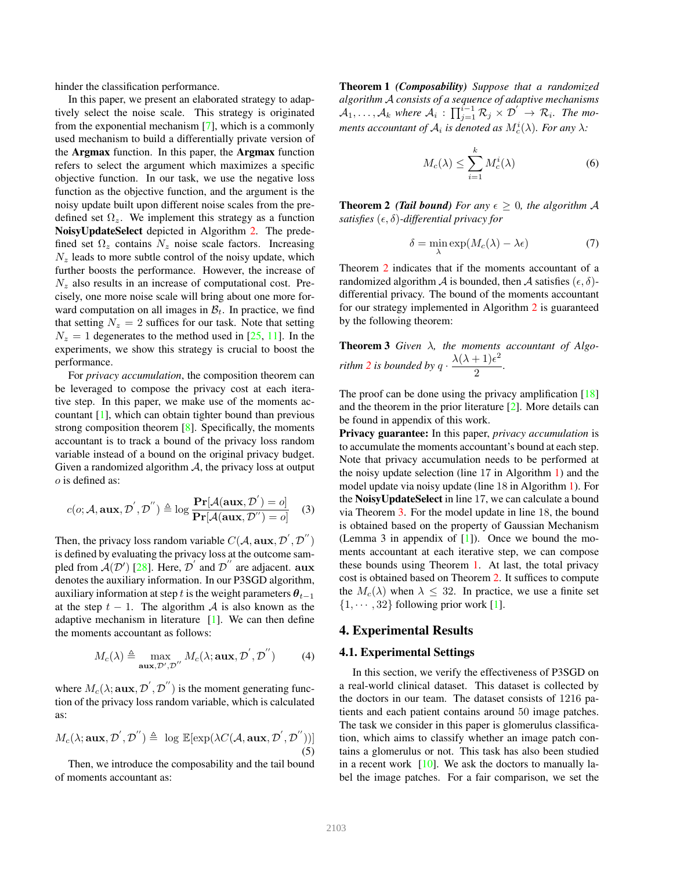hinder the classification performance.

In this paper, we present an elaborated strategy to adaptively select the noise scale. This strategy is originated from the exponential mechanism [7], which is a commonly used mechanism to build a differentially private version of the Argmax function. In this paper, the Argmax function refers to select the argument which maximizes a specific objective function. In our task, we use the negative loss function as the objective function, and the argument is the noisy update built upon different noise scales from the predefined set  $\Omega_z$ . We implement this strategy as a function NoisyUpdateSelect depicted in Algorithm 2. The predefined set  $\Omega_z$  contains  $N_z$  noise scale factors. Increasing  $N_z$  leads to more subtle control of the noisy update, which further boosts the performance. However, the increase of  $N_z$  also results in an increase of computational cost. Precisely, one more noise scale will bring about one more forward computation on all images in  $\mathcal{B}_t$ . In practice, we find that setting  $N_z = 2$  suffices for our task. Note that setting  $N_z = 1$  degenerates to the method used in [25, 11]. In the experiments, we show this strategy is crucial to boost the performance.

For *privacy accumulation*, the composition theorem can be leveraged to compose the privacy cost at each iterative step. In this paper, we make use of the moments accountant [1], which can obtain tighter bound than previous strong composition theorem [8]. Specifically, the moments accountant is to track a bound of the privacy loss random variable instead of a bound on the original privacy budget. Given a randomized algorithm  $A$ , the privacy loss at output o is defined as:

$$
c(o; \mathcal{A}, \mathbf{aux}, \mathcal{D}', \mathcal{D}'') \triangleq \log \frac{\mathbf{Pr}[\mathcal{A}(\mathbf{aux}, \mathcal{D}') = o]}{\mathbf{Pr}[\mathcal{A}(\mathbf{aux}, \mathcal{D}'') = o]} \quad (3)
$$

Then, the privacy loss random variable  $C(\mathcal{A}, \mathbf{aux}, \mathcal{D}', \mathcal{D}'')$ is defined by evaluating the privacy loss at the outcome sampled from  $A(D')$  [28]. Here, D' and D'' are adjacent. aux denotes the auxiliary information. In our P3SGD algorithm, auxiliary information at step t is the weight parameters  $\theta_{t-1}$ at the step  $t - 1$ . The algorithm A is also known as the adaptive mechanism in literature  $[1]$ . We can then define the moments accountant as follows:

$$
M_c(\lambda) \triangleq \max_{\mathbf{aux}, \mathcal{D}', \mathcal{D}''} M_c(\lambda; \mathbf{aux}, \mathcal{D}', \mathcal{D}'')
$$
(4)

where  $M_c(\lambda; \mathbf{aux}, \mathcal{D}', \mathcal{D}'')$  is the moment generating function of the privacy loss random variable, which is calculated as:

$$
M_c(\lambda; \mathbf{aux}, \mathcal{D}', \mathcal{D}'') \triangleq \log \mathbb{E}[\exp(\lambda C(\mathcal{A}, \mathbf{aux}, \mathcal{D}', \mathcal{D}''))]
$$
(5)

Then, we introduce the composability and the tail bound of moments accountant as:

Theorem 1 *(Composability) Suppose that a randomized algorithm* A *consists of a sequence of adaptive mechanisms*  $\mathcal{A}_1,\ldots,\mathcal{A}_k$  where  $\mathcal{A}_i$ :  $\prod_{j=1}^{i-1}\mathcal{R}_j \times \mathcal{D}' \to \mathcal{R}_i$ . The moments accountant of  $\mathcal{A}_i$  is denoted as  $M_c^i(\lambda)$ . For any  $\lambda$ :

$$
M_c(\lambda) \le \sum_{i=1}^k M_c^i(\lambda) \tag{6}
$$

**Theorem 2** *(Tail bound) For any*  $\epsilon \geq 0$ *, the algorithm A satisfies*  $(\epsilon, \delta)$ -differential privacy for

$$
\delta = \min_{\lambda} \exp(M_c(\lambda) - \lambda \epsilon) \tag{7}
$$

Theorem 2 indicates that if the moments accountant of a randomized algorithm A is bounded, then A satisfies  $(\epsilon, \delta)$ differential privacy. The bound of the moments accountant for our strategy implemented in Algorithm 2 is guaranteed by the following theorem:

Theorem 3 *Given* λ*, the moments accountant of Algorithm* 2 *is bounded by*  $q \cdot \frac{\lambda(\lambda+1)\epsilon^2}{2}$  $\frac{1}{2}$ .

The proof can be done using the privacy amplification [18] and the theorem in the prior literature [2]. More details can be found in appendix of this work.

Privacy guarantee: In this paper, *privacy accumulation* is to accumulate the moments accountant's bound at each step. Note that privacy accumulation needs to be performed at the noisy update selection (line 17 in Algorithm 1) and the model update via noisy update (line 18 in Algorithm 1). For the NoisyUpdateSelect in line 17, we can calculate a bound via Theorem 3. For the model update in line 18, the bound is obtained based on the property of Gaussian Mechanism (Lemma 3 in appendix of [1]). Once we bound the moments accountant at each iterative step, we can compose these bounds using Theorem 1. At last, the total privacy cost is obtained based on Theorem 2. It suffices to compute the  $M_c(\lambda)$  when  $\lambda \leq 32$ . In practice, we use a finite set  $\{1, \cdots, 32\}$  following prior work [1].

## 4. Experimental Results

#### 4.1. Experimental Settings

In this section, we verify the effectiveness of P3SGD on a real-world clinical dataset. This dataset is collected by the doctors in our team. The dataset consists of 1216 patients and each patient contains around 50 image patches. The task we consider in this paper is glomerulus classification, which aims to classify whether an image patch contains a glomerulus or not. This task has also been studied in a recent work  $[10]$ . We ask the doctors to manually label the image patches. For a fair comparison, we set the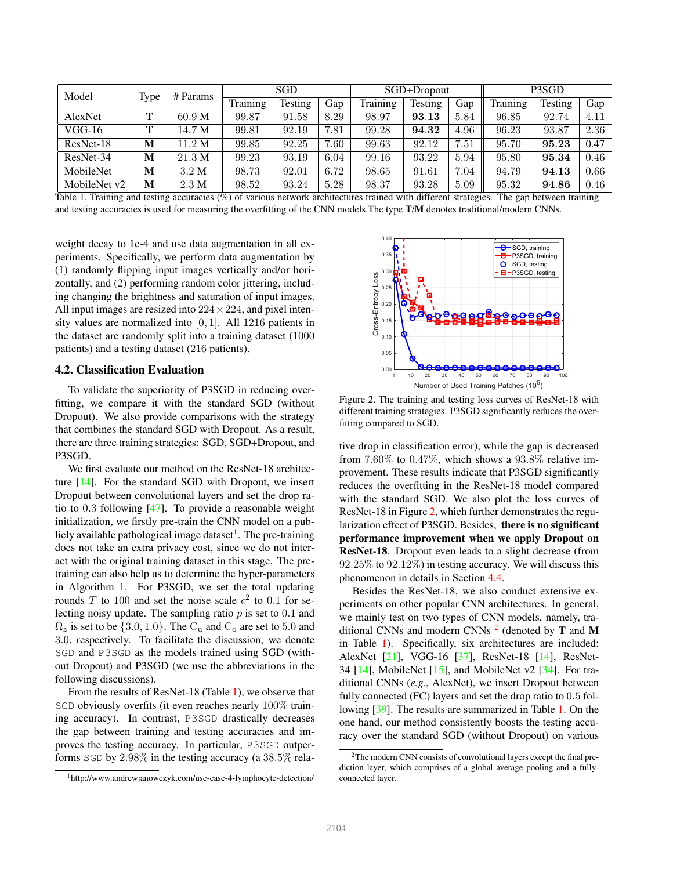| Model        | Type | # Params          | <b>SGD</b>      |                |      | SGD+Dropout |                |      | P3SGD    |                |      |
|--------------|------|-------------------|-----------------|----------------|------|-------------|----------------|------|----------|----------------|------|
|              |      |                   | <b>Training</b> | <b>Testing</b> | Gap  | Training    | <b>Testing</b> | Gap  | Training | <b>Testing</b> | Gap  |
| AlexNet      | Т    | 60.9 <sub>M</sub> | 99.87           | 91.58          | 8.29 | 98.97       | 93.13          | 5.84 | 96.85    | 92.74          | 4.11 |
| $VGG-16$     | Т    | 14.7 M            | 99.81           | 92.19          | 7.81 | 99.28       | 94.32          | 4.96 | 96.23    | 93.87          | 2.36 |
| ResNet-18    | M    | 11.2 M            | 99.85           | 92.25          | 7.60 | 99.63       | 92.12          | 7.51 | 95.70    | 95.23          | 0.47 |
| ResNet-34    | M    | 21.3 M            | 99.23           | 93.19          | 6.04 | 99.16       | 93.22          | 5.94 | 95.80    | 95.34          | 0.46 |
| MobileNet    | M    | 3.2 M             | 98.73           | 92.01          | 6.72 | 98.65       | 91.61          | 7.04 | 94.79    | 94.13          | 0.66 |
| MobileNet v2 | M    | 2.3 M             | 98.52           | 93.24          | 5.28 | 98.37       | 93.28          | 5.09 | 95.32    | 94.86          | 0.46 |

Table 1. Training and testing accuracies (%) of various network architectures trained with different strategies. The gap between training and testing accuracies is used for measuring the overfitting of the CNN models. The type T/M denotes traditional/modern CNNs.

weight decay to 1e-4 and use data augmentation in all experiments. Specifically, we perform data augmentation by (1) randomly flipping input images vertically and/or horizontally, and (2) performing random color jittering, including changing the brightness and saturation of input images. All input images are resized into  $224 \times 224$ , and pixel intensity values are normalized into [0, 1]. All 1216 patients in the dataset are randomly split into a training dataset (1000 patients) and a testing dataset (216 patients).

#### 4.2. Classification Evaluation

To validate the superiority of P3SGD in reducing overfitting, we compare it with the standard SGD (without Dropout). We also provide comparisons with the strategy that combines the standard SGD with Dropout. As a result, there are three training strategies: SGD, SGD+Dropout, and P3SGD.

We first evaluate our method on the ResNet-18 architecture [14]. For the standard SGD with Dropout, we insert Dropout between convolutional layers and set the drop ratio to 0.3 following [47]. To provide a reasonable weight initialization, we firstly pre-train the CNN model on a publicly available pathological image dataset<sup>1</sup>. The pre-training does not take an extra privacy cost, since we do not interact with the original training dataset in this stage. The pretraining can also help us to determine the hyper-parameters in Algorithm 1. For P3SGD, we set the total updating rounds T to 100 and set the noise scale  $\epsilon^2$  to 0.1 for selecting noisy update. The sampling ratio  $p$  is set to 0.1 and  $\Omega_z$  is set to be {3.0, 1.0}. The C<sub>u</sub> and C<sub>o</sub> are set to 5.0 and 3.0, respectively. To facilitate the discussion, we denote SGD and P3SGD as the models trained using SGD (without Dropout) and P3SGD (we use the abbreviations in the following discussions).

From the results of ResNet-18 (Table 1), we observe that SGD obviously overfits (it even reaches nearly 100% training accuracy). In contrast, P3SGD drastically decreases the gap between training and testing accuracies and improves the testing accuracy. In particular, P3SGD outperforms SGD by 2.98% in the testing accuracy (a 38.5% rela-



Figure 2. The training and testing loss curves of ResNet-18 with different training strategies. P3SGD significantly reduces the overfitting compared to SGD.

tive drop in classification error), while the gap is decreased from  $7.60\%$  to  $0.47\%$ , which shows a  $93.8\%$  relative improvement. These results indicate that P3SGD significantly reduces the overfitting in the ResNet-18 model compared with the standard SGD. We also plot the loss curves of ResNet-18 in Figure 2, which further demonstrates the regularization effect of P3SGD. Besides, there is no significant performance improvement when we apply Dropout on ResNet-18. Dropout even leads to a slight decrease (from 92.25% to 92.12%) in testing accuracy. We will discuss this phenomenon in details in Section 4.4.

Besides the ResNet-18, we also conduct extensive experiments on other popular CNN architectures. In general, we mainly test on two types of CNN models, namely, traditional CNNs and modern CNNs  $^2$  (denoted by T and M in Table 1). Specifically, six architectures are included: AlexNet [21], VGG-16 [37], ResNet-18 [14], ResNet-34  $[14]$ , MobileNet  $[15]$ , and MobileNet v2  $[34]$ . For traditional CNNs (*e.g.*, AlexNet), we insert Dropout between fully connected (FC) layers and set the drop ratio to 0.5 following [39]. The results are summarized in Table 1. On the one hand, our method consistently boosts the testing accuracy over the standard SGD (without Dropout) on various

<sup>1</sup>http://www.andrewjanowczyk.com/use-case-4-lymphocyte-detection/

<sup>&</sup>lt;sup>2</sup>The modern CNN consists of convolutional layers except the final prediction layer, which comprises of a global average pooling and a fullyconnected layer.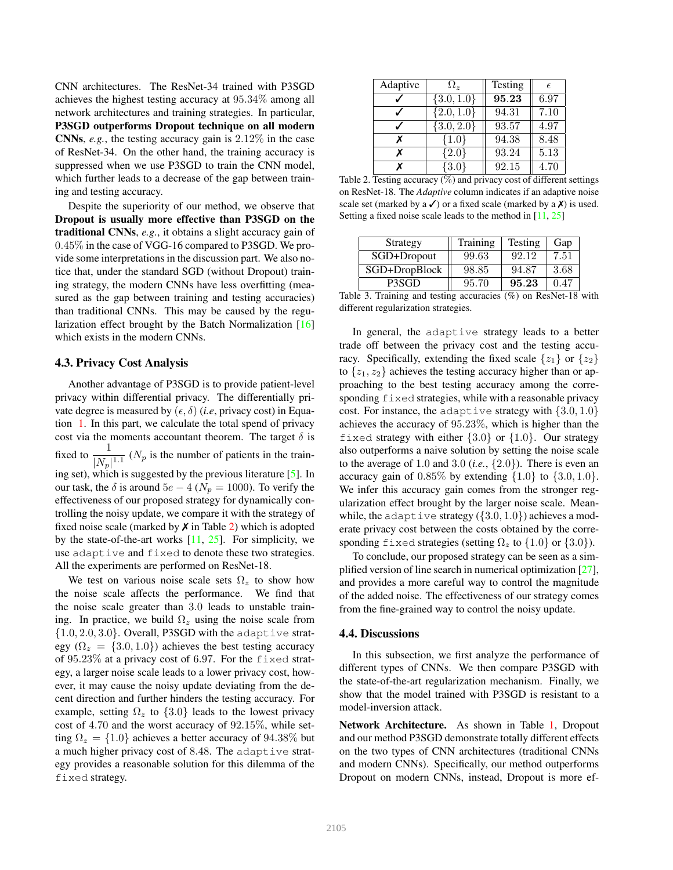CNN architectures. The ResNet-34 trained with P3SGD achieves the highest testing accuracy at 95.34% among all network architectures and training strategies. In particular, P3SGD outperforms Dropout technique on all modern CNNs, *e.g.*, the testing accuracy gain is 2.12% in the case of ResNet-34. On the other hand, the training accuracy is suppressed when we use P3SGD to train the CNN model, which further leads to a decrease of the gap between training and testing accuracy.

Despite the superiority of our method, we observe that Dropout is usually more effective than P3SGD on the traditional CNNs, *e.g.*, it obtains a slight accuracy gain of 0.45% in the case of VGG-16 compared to P3SGD. We provide some interpretations in the discussion part. We also notice that, under the standard SGD (without Dropout) training strategy, the modern CNNs have less overfitting (measured as the gap between training and testing accuracies) than traditional CNNs. This may be caused by the regularization effect brought by the Batch Normalization [16] which exists in the modern CNNs.

## 4.3. Privacy Cost Analysis

Another advantage of P3SGD is to provide patient-level privacy within differential privacy. The differentially private degree is measured by  $(\epsilon, \delta)$  (*i.e.*, privacy cost) in Equation 1. In this part, we calculate the total spend of privacy cost via the moments accountant theorem. The target  $\delta$  is fixed to  $\frac{1}{|N_p|^{1.1}}$  ( $N_p$  is the number of patients in the training set), which is suggested by the previous literature [5]. In our task, the  $\delta$  is around  $5e - 4$  ( $N_p = 1000$ ). To verify the effectiveness of our proposed strategy for dynamically controlling the noisy update, we compare it with the strategy of fixed noise scale (marked by  $\chi$  in Table 2) which is adopted by the state-of-the-art works  $[11, 25]$ . For simplicity, we use adaptive and fixed to denote these two strategies. All the experiments are performed on ResNet-18.

We test on various noise scale sets  $\Omega_z$  to show how the noise scale affects the performance. We find that the noise scale greater than 3.0 leads to unstable training. In practice, we build  $\Omega_z$  using the noise scale from  $\{1.0, 2.0, 3.0\}$ . Overall, P3SGD with the adaptive strategy ( $\Omega_z = \{3.0, 1.0\}$ ) achieves the best testing accuracy of 95.23% at a privacy cost of 6.97. For the fixed strategy, a larger noise scale leads to a lower privacy cost, however, it may cause the noisy update deviating from the decent direction and further hinders the testing accuracy. For example, setting  $\Omega_z$  to  $\{3.0\}$  leads to the lowest privacy cost of 4.70 and the worst accuracy of 92.15%, while setting  $\Omega_z = \{1.0\}$  achieves a better accuracy of 94.38% but a much higher privacy cost of 8.48. The adaptive strategy provides a reasonable solution for this dilemma of the fixed strategy.

| Adaptive | $\Omega_z$     | Testing | F    |
|----------|----------------|---------|------|
|          | $\{3.0, 1.0\}$ | 95.23   | 6.97 |
|          | $\{2.0, 1.0\}$ | 94.31   | 7.10 |
|          | $\{3.0, 2.0\}$ | 93.57   | 4.97 |
| x        | ${1.0}$        | 94.38   | 8.48 |
| х        | ${2.0}$        | 93.24   | 5.13 |
| x        | $\{3.0\}$      | 92.15   | 4.70 |

Table 2. Testing accuracy  $(\%)$  and privacy cost of different settings on ResNet-18. The *Adaptive* column indicates if an adaptive noise scale set (marked by a  $\checkmark$ ) or a fixed scale (marked by a  $\checkmark$ ) is used. Setting a fixed noise scale leads to the method in [11, 25]

| Strategy      | Training | <b>Testing</b> | Gap  |
|---------------|----------|----------------|------|
| SGD+Dropout   | 99.63    | 92.12          | 7.51 |
| SGD+DropBlock | 98.85    | 94.87          | 3.68 |
| P3SGD         | 95.70    | 95.23          |      |

Table 3. Training and testing accuracies (%) on ResNet-18 with different regularization strategies.

In general, the adaptive strategy leads to a better trade off between the privacy cost and the testing accuracy. Specifically, extending the fixed scale  $\{z_1\}$  or  $\{z_2\}$ to  $\{z_1, z_2\}$  achieves the testing accuracy higher than or approaching to the best testing accuracy among the corresponding fixed strategies, while with a reasonable privacy cost. For instance, the adaptive strategy with  $\{3.0, 1.0\}$ achieves the accuracy of 95.23%, which is higher than the fixed strategy with either  $\{3.0\}$  or  $\{1.0\}$ . Our strategy also outperforms a naive solution by setting the noise scale to the average of 1.0 and 3.0 (*i.e.*,  $\{2.0\}$ ). There is even an accuracy gain of  $0.85\%$  by extending  $\{1.0\}$  to  $\{3.0, 1.0\}$ . We infer this accuracy gain comes from the stronger regularization effect brought by the larger noise scale. Meanwhile, the adaptive strategy  $({3.0, 1.0})$  achieves a moderate privacy cost between the costs obtained by the corresponding fixed strategies (setting  $\Omega_z$  to  $\{1.0\}$  or  $\{3.0\}$ ).

To conclude, our proposed strategy can be seen as a simplified version of line search in numerical optimization [27], and provides a more careful way to control the magnitude of the added noise. The effectiveness of our strategy comes from the fine-grained way to control the noisy update.

#### 4.4. Discussions

In this subsection, we first analyze the performance of different types of CNNs. We then compare P3SGD with the state-of-the-art regularization mechanism. Finally, we show that the model trained with P3SGD is resistant to a model-inversion attack.

Network Architecture. As shown in Table 1, Dropout and our method P3SGD demonstrate totally different effects on the two types of CNN architectures (traditional CNNs and modern CNNs). Specifically, our method outperforms Dropout on modern CNNs, instead, Dropout is more ef-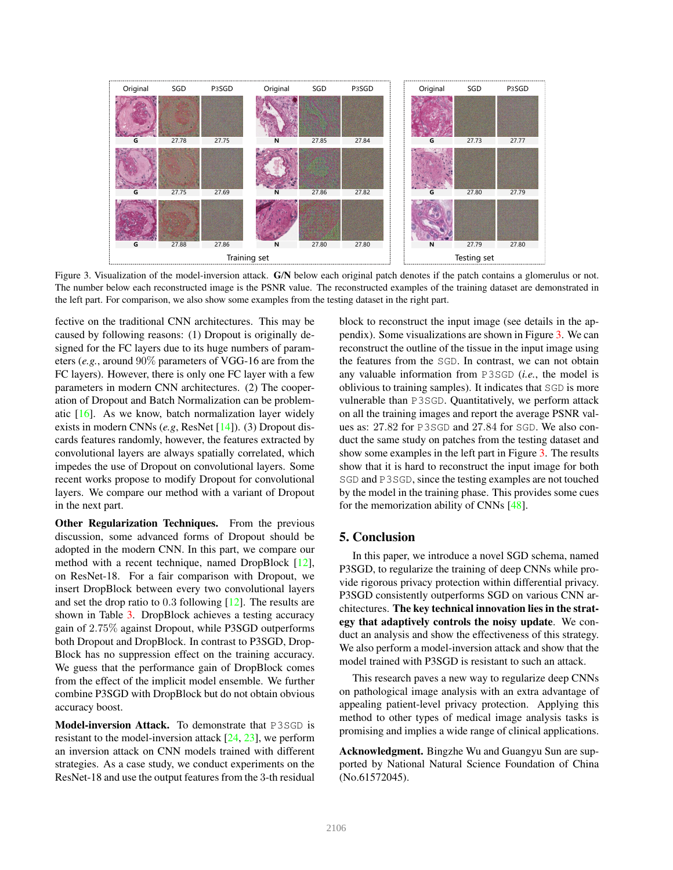

Figure 3. Visualization of the model-inversion attack. G/N below each original patch denotes if the patch contains a glomerulus or not. The number below each reconstructed image is the PSNR value. The reconstructed examples of the training dataset are demonstrated in the left part. For comparison, we also show some examples from the testing dataset in the right part.

fective on the traditional CNN architectures. This may be caused by following reasons: (1) Dropout is originally designed for the FC layers due to its huge numbers of parameters (*e.g.*, around 90% parameters of VGG-16 are from the FC layers). However, there is only one FC layer with a few parameters in modern CNN architectures. (2) The cooperation of Dropout and Batch Normalization can be problematic  $[16]$ . As we know, batch normalization layer widely exists in modern CNNs (*e.g*, ResNet [14]). (3) Dropout discards features randomly, however, the features extracted by convolutional layers are always spatially correlated, which impedes the use of Dropout on convolutional layers. Some recent works propose to modify Dropout for convolutional layers. We compare our method with a variant of Dropout in the next part.

Other Regularization Techniques. From the previous discussion, some advanced forms of Dropout should be adopted in the modern CNN. In this part, we compare our method with a recent technique, named DropBlock [12], on ResNet-18. For a fair comparison with Dropout, we insert DropBlock between every two convolutional layers and set the drop ratio to 0.3 following [12]. The results are shown in Table 3. DropBlock achieves a testing accuracy gain of 2.75% against Dropout, while P3SGD outperforms both Dropout and DropBlock. In contrast to P3SGD, Drop-Block has no suppression effect on the training accuracy. We guess that the performance gain of DropBlock comes from the effect of the implicit model ensemble. We further combine P3SGD with DropBlock but do not obtain obvious accuracy boost.

Model-inversion Attack. To demonstrate that P3SGD is resistant to the model-inversion attack [24, 23], we perform an inversion attack on CNN models trained with different strategies. As a case study, we conduct experiments on the ResNet-18 and use the output features from the 3-th residual block to reconstruct the input image (see details in the appendix). Some visualizations are shown in Figure 3. We can reconstruct the outline of the tissue in the input image using the features from the SGD. In contrast, we can not obtain any valuable information from P3SGD (*i.e.*, the model is oblivious to training samples). It indicates that SGD is more vulnerable than P3SGD. Quantitatively, we perform attack on all the training images and report the average PSNR values as: 27.82 for P3SGD and 27.84 for SGD. We also conduct the same study on patches from the testing dataset and show some examples in the left part in Figure 3. The results show that it is hard to reconstruct the input image for both SGD and P3SGD, since the testing examples are not touched by the model in the training phase. This provides some cues for the memorization ability of CNNs [48].

## 5. Conclusion

In this paper, we introduce a novel SGD schema, named P3SGD, to regularize the training of deep CNNs while provide rigorous privacy protection within differential privacy. P3SGD consistently outperforms SGD on various CNN architectures. The key technical innovation lies in the strategy that adaptively controls the noisy update. We conduct an analysis and show the effectiveness of this strategy. We also perform a model-inversion attack and show that the model trained with P3SGD is resistant to such an attack.

This research paves a new way to regularize deep CNNs on pathological image analysis with an extra advantage of appealing patient-level privacy protection. Applying this method to other types of medical image analysis tasks is promising and implies a wide range of clinical applications.

Acknowledgment. Bingzhe Wu and Guangyu Sun are supported by National Natural Science Foundation of China (No.61572045).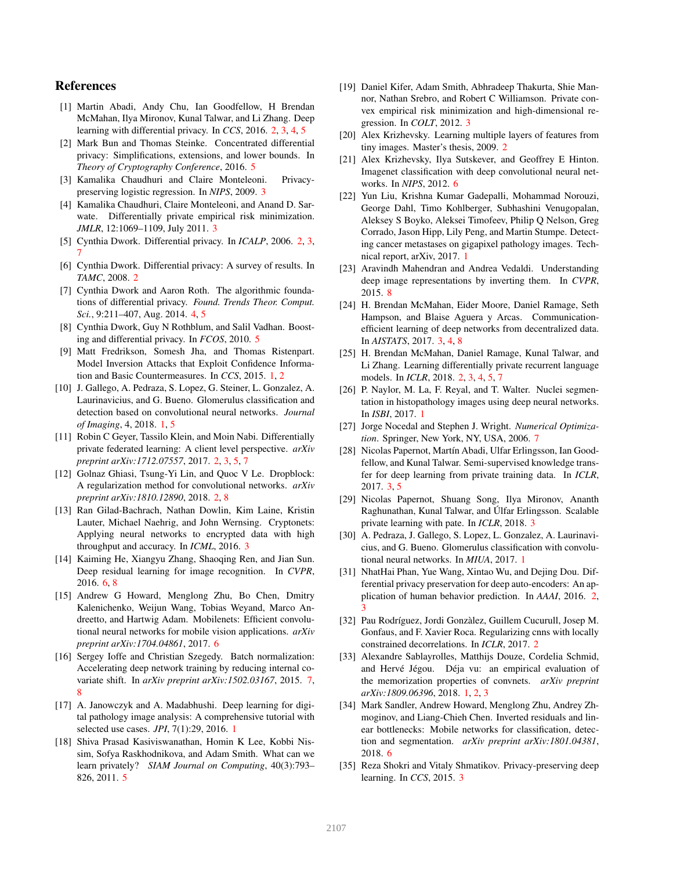## References

- [1] Martin Abadi, Andy Chu, Ian Goodfellow, H Brendan McMahan, Ilya Mironov, Kunal Talwar, and Li Zhang. Deep learning with differential privacy. In *CCS*, 2016. 2, 3, 4, 5
- [2] Mark Bun and Thomas Steinke. Concentrated differential privacy: Simplifications, extensions, and lower bounds. In *Theory of Cryptography Conference*, 2016. 5
- [3] Kamalika Chaudhuri and Claire Monteleoni. Privacypreserving logistic regression. In *NIPS*, 2009. 3
- [4] Kamalika Chaudhuri, Claire Monteleoni, and Anand D. Sarwate. Differentially private empirical risk minimization. *JMLR*, 12:1069–1109, July 2011. 3
- [5] Cynthia Dwork. Differential privacy. In *ICALP*, 2006. 2, 3, 7
- [6] Cynthia Dwork. Differential privacy: A survey of results. In *TAMC*, 2008. 2
- [7] Cynthia Dwork and Aaron Roth. The algorithmic foundations of differential privacy. *Found. Trends Theor. Comput. Sci.*, 9:211–407, Aug. 2014. 4, 5
- [8] Cynthia Dwork, Guy N Rothblum, and Salil Vadhan. Boosting and differential privacy. In *FCOS*, 2010. 5
- [9] Matt Fredrikson, Somesh Jha, and Thomas Ristenpart. Model Inversion Attacks that Exploit Confidence Information and Basic Countermeasures. In *CCS*, 2015. 1, 2
- [10] J. Gallego, A. Pedraza, S. Lopez, G. Steiner, L. Gonzalez, A. Laurinavicius, and G. Bueno. Glomerulus classification and detection based on convolutional neural networks. *Journal of Imaging*, 4, 2018. 1, 5
- [11] Robin C Geyer, Tassilo Klein, and Moin Nabi. Differentially private federated learning: A client level perspective. *arXiv preprint arXiv:1712.07557*, 2017. 2, 3, 5, 7
- [12] Golnaz Ghiasi, Tsung-Yi Lin, and Quoc V Le. Dropblock: A regularization method for convolutional networks. *arXiv preprint arXiv:1810.12890*, 2018. 2, 8
- [13] Ran Gilad-Bachrach, Nathan Dowlin, Kim Laine, Kristin Lauter, Michael Naehrig, and John Wernsing. Cryptonets: Applying neural networks to encrypted data with high throughput and accuracy. In *ICML*, 2016. 3
- [14] Kaiming He, Xiangyu Zhang, Shaoqing Ren, and Jian Sun. Deep residual learning for image recognition. In *CVPR*, 2016. 6, 8
- [15] Andrew G Howard, Menglong Zhu, Bo Chen, Dmitry Kalenichenko, Weijun Wang, Tobias Weyand, Marco Andreetto, and Hartwig Adam. Mobilenets: Efficient convolutional neural networks for mobile vision applications. *arXiv preprint arXiv:1704.04861*, 2017. 6
- [16] Sergey Ioffe and Christian Szegedy. Batch normalization: Accelerating deep network training by reducing internal covariate shift. In *arXiv preprint arXiv:1502.03167*, 2015. 7, 8
- [17] A. Janowczyk and A. Madabhushi. Deep learning for digital pathology image analysis: A comprehensive tutorial with selected use cases. *JPI*, 7(1):29, 2016. 1
- [18] Shiva Prasad Kasiviswanathan, Homin K Lee, Kobbi Nissim, Sofya Raskhodnikova, and Adam Smith. What can we learn privately? *SIAM Journal on Computing*, 40(3):793– 826, 2011. 5
- [19] Daniel Kifer, Adam Smith, Abhradeep Thakurta, Shie Mannor, Nathan Srebro, and Robert C Williamson. Private convex empirical risk minimization and high-dimensional regression. In *COLT*, 2012. 3
- [20] Alex Krizhevsky. Learning multiple layers of features from tiny images. Master's thesis, 2009. 2
- [21] Alex Krizhevsky, Ilya Sutskever, and Geoffrey E Hinton. Imagenet classification with deep convolutional neural networks. In *NIPS*, 2012. 6
- [22] Yun Liu, Krishna Kumar Gadepalli, Mohammad Norouzi, George Dahl, Timo Kohlberger, Subhashini Venugopalan, Aleksey S Boyko, Aleksei Timofeev, Philip Q Nelson, Greg Corrado, Jason Hipp, Lily Peng, and Martin Stumpe. Detecting cancer metastases on gigapixel pathology images. Technical report, arXiv, 2017. 1
- [23] Aravindh Mahendran and Andrea Vedaldi. Understanding deep image representations by inverting them. In *CVPR*, 2015. 8
- [24] H. Brendan McMahan, Eider Moore, Daniel Ramage, Seth Hampson, and Blaise Aguera y Arcas. Communicationefficient learning of deep networks from decentralized data. In *AISTATS*, 2017. 3, 4, 8
- [25] H. Brendan McMahan, Daniel Ramage, Kunal Talwar, and Li Zhang. Learning differentially private recurrent language models. In *ICLR*, 2018. 2, 3, 4, 5, 7
- [26] P. Naylor, M. La, F. Reyal, and T. Walter. Nuclei segmentation in histopathology images using deep neural networks. In *ISBI*, 2017. 1
- [27] Jorge Nocedal and Stephen J. Wright. *Numerical Optimization*. Springer, New York, NY, USA, 2006. 7
- [28] Nicolas Papernot, Martín Abadi, Ulfar Erlingsson, Ian Goodfellow, and Kunal Talwar. Semi-supervised knowledge transfer for deep learning from private training data. In *ICLR*, 2017. 3, 5
- [29] Nicolas Papernot, Shuang Song, Ilya Mironov, Ananth Raghunathan, Kunal Talwar, and Ulfar Erlingsson. Scalable ´ private learning with pate. In *ICLR*, 2018. 3
- [30] A. Pedraza, J. Gallego, S. Lopez, L. Gonzalez, A. Laurinavicius, and G. Bueno. Glomerulus classification with convolutional neural networks. In *MIUA*, 2017. 1
- [31] NhatHai Phan, Yue Wang, Xintao Wu, and Dejing Dou. Differential privacy preservation for deep auto-encoders: An application of human behavior prediction. In *AAAI*, 2016. 2, 3
- [32] Pau Rodríguez, Jordi Gonzàlez, Guillem Cucurull, Josep M. Gonfaus, and F. Xavier Roca. Regularizing cnns with locally constrained decorrelations. In *ICLR*, 2017. 2
- [33] Alexandre Sablayrolles, Matthijs Douze, Cordelia Schmid, and Hervé Jégou. Déja vu: an empirical evaluation of the memorization properties of convnets. *arXiv preprint arXiv:1809.06396*, 2018. 1, 2, 3
- [34] Mark Sandler, Andrew Howard, Menglong Zhu, Andrey Zhmoginov, and Liang-Chieh Chen. Inverted residuals and linear bottlenecks: Mobile networks for classification, detection and segmentation. *arXiv preprint arXiv:1801.04381*, 2018. 6
- [35] Reza Shokri and Vitaly Shmatikov. Privacy-preserving deep learning. In *CCS*, 2015. 3